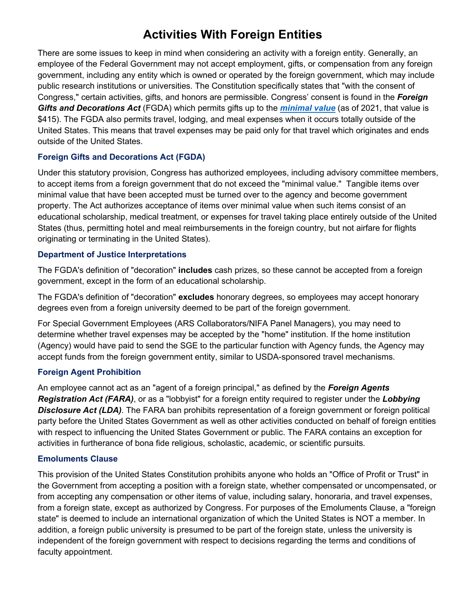# **Activities With Foreign Entities**

There are some issues to keep in mind when considering an activity with a foreign entity. Generally, an employee of the Federal Government may not accept employment, gifts, or compensation from any foreign government, including any entity which is owned or operated by the foreign government, which may include public research institutions or universities. The Constitution specifically states that "with the consent of Congress," certain activities, gifts, and honors are permissible. Congress' consent is found in the *Foreign Gifts and Decorations Act* (FGDA) which permits gifts up to the *[minimal value](https://www.gsa.gov/policy-regulations/policy/personal-property-management-policy/foreign-gifts)* (as of 2021, that value is \$415). The FGDA also permits travel, lodging, and meal expenses when it occurs totally outside of the United States. This means that travel expenses may be paid only for that travel which originates and ends outside of the United States.

# **Foreign Gifts and Decorations Act (FGDA)**

Under this statutory provision, Congress has authorized employees, including advisory committee members, to accept items from a foreign government that do not exceed the "minimal value." Tangible items over minimal value that have been accepted must be turned over to the agency and become government property. The Act authorizes acceptance of items over minimal value when such items consist of an educational scholarship, medical treatment, or expenses for travel taking place entirely outside of the United States (thus, permitting hotel and meal reimbursements in the foreign country, but not airfare for flights originating or terminating in the United States).

## **Department of Justice Interpretations**

The FGDA's definition of "decoration" **includes** cash prizes, so these cannot be accepted from a foreign government, except in the form of an educational scholarship.

The FGDA's definition of "decoration" **excludes** honorary degrees, so employees may accept honorary degrees even from a foreign university deemed to be part of the foreign government.

For Special Government Employees (ARS Collaborators/NIFA Panel Managers), you may need to determine whether travel expenses may be accepted by the "home" institution. If the home institution (Agency) would have paid to send the SGE to the particular function with Agency funds, the Agency may accept funds from the foreign government entity, similar to USDA-sponsored travel mechanisms.

## **Foreign Agent Prohibition**

An employee cannot act as an "agent of a foreign principal," as defined by the *Foreign Agents Registration Act (FARA)*, or as a "lobbyist" for a foreign entity required to register under the *Lobbying*  **Disclosure Act (LDA)**. The FARA ban prohibits representation of a foreign government or foreign political party before the United States Government as well as other activities conducted on behalf of foreign entities with respect to influencing the United States Government or public. The FARA contains an exception for activities in furtherance of bona fide religious, scholastic, academic, or scientific pursuits.

#### **Emoluments Clause**

This provision of the United States Constitution prohibits anyone who holds an "Office of Profit or Trust" in the Government from accepting a position with a foreign state, whether compensated or uncompensated, or from accepting any compensation or other items of value, including salary, honoraria, and travel expenses, from a foreign state, except as authorized by Congress. For purposes of the Emoluments Clause, a "foreign state" is deemed to include an international organization of which the United States is NOT a member. In addition, a foreign public university is presumed to be part of the foreign state, unless the university is independent of the foreign government with respect to decisions regarding the terms and conditions of faculty appointment.